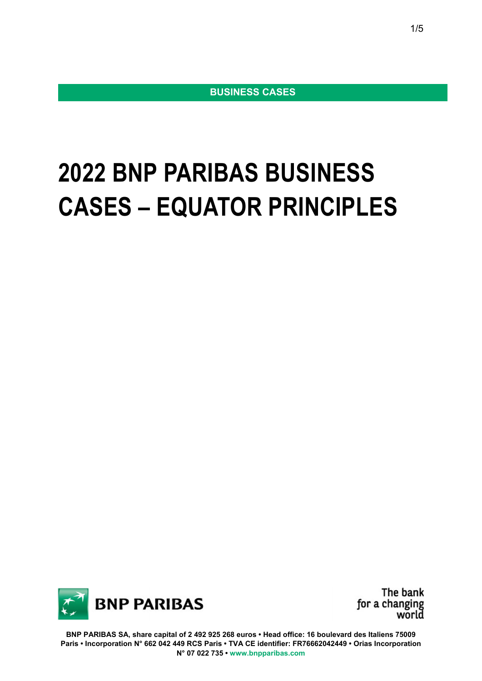**BUSINESS CASES** 

## **2022 BNP PARIBAS BUSINESS CASES – EQUATOR PRINCIPLES**



The bank for a changing<br>world

**BNP PARIBAS SA, share capital of 2 492 925 268 euros • Head office: 16 boulevard des Italiens 75009 Paris • Incorporation N° 662 042 449 RCS Paris • TVA CE identifier: FR76662042449 • Orias Incorporation N° 07 022 735 • www.bnpparibas.com**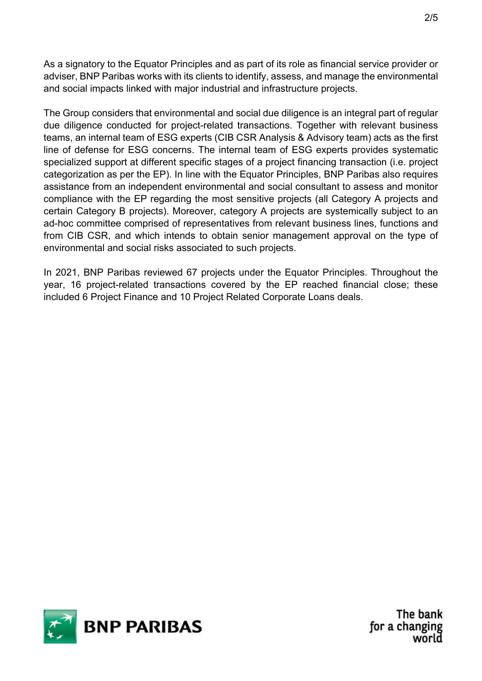As a signatory to the Equator Principles and as part of its role as financial service provider or adviser, BNP Paribas works with its clients to identify, assess, and manage the environmental and social impacts linked with major industrial and infrastructure projects.

The Group considers that environmental and social due diligence is an integral part of regular due diligence conducted for project-related transactions. Together with relevant business teams, an internal team of ESG experts (CIB CSR Analysis & Advisory team) acts as the first line of defense for ESG concerns. The internal team of ESG experts provides systematic specialized support at different specific stages of a project financing transaction (i.e. project categorization as per the EP). In line with the Equator Principles, BNP Paribas also requires assistance from an independent environmental and social consultant to assess and monitor compliance with the EP regarding the most sensitive projects (all Category A projects and certain Category B projects). Moreover, category A projects are systemically subject to an ad-hoc committee comprised of representatives from relevant business lines, functions and from CIB CSR, and which intends to obtain senior management approval on the type of environmental and social risks associated to such projects.

In 2021, BNP Paribas reviewed 67 projects under the Equator Principles. Throughout the year, 16 project-related transactions covered by the EP reached financial close; these included 6 Project Finance and 10 Project Related Corporate Loans deals.

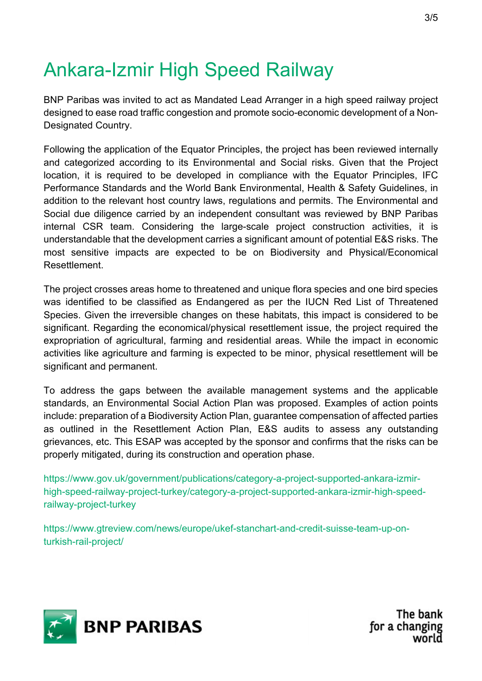## Ankara-Izmir High Speed Railway

BNP Paribas was invited to act as Mandated Lead Arranger in a high speed railway project designed to ease road traffic congestion and promote socio-economic development of a Non-Designated Country.

Following the application of the Equator Principles, the project has been reviewed internally and categorized according to its Environmental and Social risks. Given that the Project location, it is required to be developed in compliance with the Equator Principles, IFC Performance Standards and the World Bank Environmental, Health & Safety Guidelines, in addition to the relevant host country laws, regulations and permits. The Environmental and Social due diligence carried by an independent consultant was reviewed by BNP Paribas internal CSR team. Considering the large-scale project construction activities, it is understandable that the development carries a significant amount of potential E&S risks. The most sensitive impacts are expected to be on Biodiversity and Physical/Economical Resettlement.

The project crosses areas home to threatened and unique flora species and one bird species was identified to be classified as Endangered as per the IUCN Red List of Threatened Species. Given the irreversible changes on these habitats, this impact is considered to be significant. Regarding the economical/physical resettlement issue, the project required the expropriation of agricultural, farming and residential areas. While the impact in economic activities like agriculture and farming is expected to be minor, physical resettlement will be significant and permanent.

To address the gaps between the available management systems and the applicable standards, an Environmental Social Action Plan was proposed. Examples of action points include: preparation of a Biodiversity Action Plan, guarantee compensation of affected parties as outlined in the Resettlement Action Plan, E&S audits to assess any outstanding grievances, etc. This ESAP was accepted by the sponsor and confirms that the risks can be properly mitigated, during its construction and operation phase.

https://www.gov.uk/government/publications/category-a-project-supported-ankara-izmirhigh-speed-railway-project-turkey/category-a-project-supported-ankara-izmir-high-speedrailway-project-turkey

https://www.gtreview.com/news/europe/ukef-stanchart-and-credit-suisse-team-up-onturkish-rail-project/

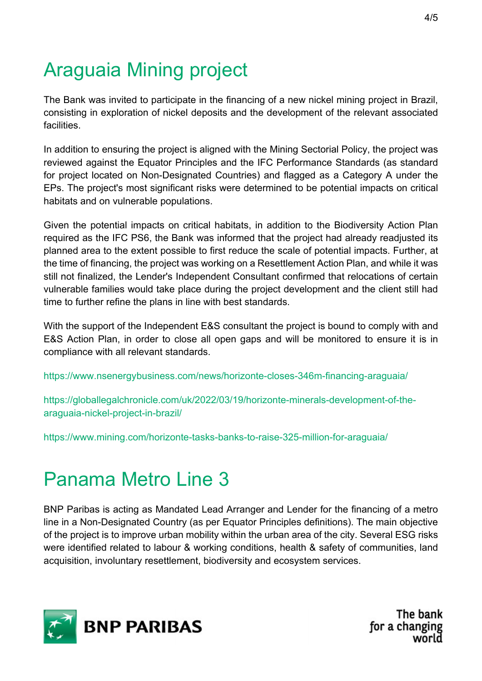## Araguaia Mining project

The Bank was invited to participate in the financing of a new nickel mining project in Brazil, consisting in exploration of nickel deposits and the development of the relevant associated **facilities** 

In addition to ensuring the project is aligned with the Mining Sectorial Policy, the project was reviewed against the Equator Principles and the IFC Performance Standards (as standard for project located on Non-Designated Countries) and flagged as a Category A under the EPs. The project's most significant risks were determined to be potential impacts on critical habitats and on vulnerable populations.

Given the potential impacts on critical habitats, in addition to the Biodiversity Action Plan required as the IFC PS6, the Bank was informed that the project had already readjusted its planned area to the extent possible to first reduce the scale of potential impacts. Further, at the time of financing, the project was working on a Resettlement Action Plan, and while it was still not finalized, the Lender's Independent Consultant confirmed that relocations of certain vulnerable families would take place during the project development and the client still had time to further refine the plans in line with best standards.

With the support of the Independent E&S consultant the project is bound to comply with and E&S Action Plan, in order to close all open gaps and will be monitored to ensure it is in compliance with all relevant standards.

https://www.nsenergybusiness.com/news/horizonte-closes-346m-financing-araguaia/

https://globallegalchronicle.com/uk/2022/03/19/horizonte-minerals-development-of-thearaguaia-nickel-project-in-brazil/

https://www.mining.com/horizonte-tasks-banks-to-raise-325-million-for-araguaia/

## Panama Metro Line 3

BNP Paribas is acting as Mandated Lead Arranger and Lender for the financing of a metro line in a Non-Designated Country (as per Equator Principles definitions). The main objective of the project is to improve urban mobility within the urban area of the city. Several ESG risks were identified related to labour & working conditions, health & safety of communities, land acquisition, involuntary resettlement, biodiversity and ecosystem services.